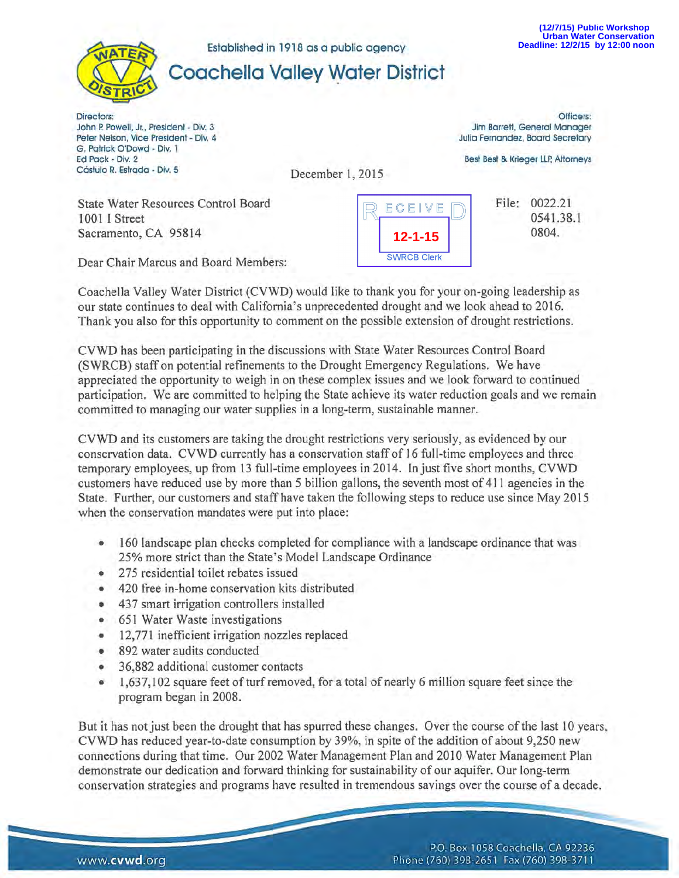

Established in 1918 as a public agency

# **Coachella Valley Water District**

Directors: John P. Powell, Jr., President - Div. 3 Peter Nelson, Vice President - Div. 4 G. Patrick O'Dowd - Div. l Ed Pack - Div. 2 Cástulo R. Estrada - Div. 5

Officers: Jim Barrett, General Manager Julia Fernandez, Board Secretary

Best Best & Krieger LLP, Attorneys

December 1, 2015

State Water Resources Control Board 1001 I Street Sacramento, CA 95814



File: 0022.21 0541.38.l 0804.

Dear Chair Marcus and Board Members:

Coachella Valley Water District (CVWD) would like to thank you for your on-going leadership as our state continues to deal with California's unprecedented drought and we look ahead to 2016. Thank you also for this opportunity to comment on the possible extension of drought restrictions.

CVWD has been participating in the discussions with State Water Resources Control Board (SWRCB) staff on potential refinements to the Drought Emergency Regulations. We have appreciated the opportunity to weigh in on these complex issues and we look forward to continued participation. We are committed to helping the State achieve its water reduction goals and we remain committed to managing our water supplies in a long-term, sustainable manner.

CVWD and its customers are taking the drought restrictions very seriously, as evidenced by our conservation data. CVWD currently has a conservation staff of 16 full-time employees and three temporary employees, up from 13 full-time employees in 2014. In just five short months, CVWD customers have reduced use by more than 5 billion gallons, the seventh most of 411 agencies in the State. Further, our customers and staff have taken the following steps to reduce use since May 2015 when the conservation mandates were put into place:

- 160 landscape plan checks completed for compliance with a landscape ordinance that was 25% more strict than the State's Model Landscape Ordinance
- 275 residential toilet rebates issued
- 420 free in-home conservation kits distributed
- 437 smart irrigation controllers installed
- 651 Water Waste investigations
- 12,771 inefficient irrigation nozzles replaced
- 892 water audits conducted
- 36,882 additional customer contacts
- 1,637,102 square feet of turf removed, for a total of nearly 6 million square feet since the program began in 2008.

But it has not just been the drought that has spurred these changes. Over the course of the last 10 years, CVWD has reduced year-to-date consumption by 39%, in spite of the addition of about 9,250 new connections during that time. Our 2002 Water Management Plan and 2010 Water Management Plan demonstrate our dedication and forward thinking for sustainability of our aquifer. Our long-term conservation strategies and programs have resulted in tremendous savings over the course of a decade.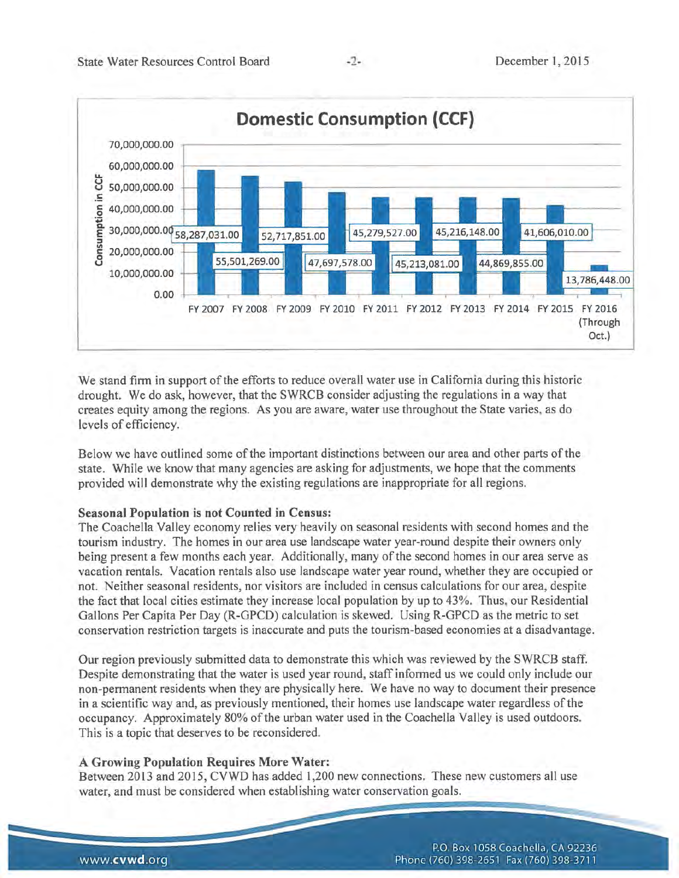

We stand firm in support of the efforts to reduce overall water use in California during this historic drought. We do ask, however, that the SWRCB consider adjusting the regulations in a way that creates equity among the regions. As you are aware, water use throughout the State varies, as do levels of efficiency.

Below we have outlined some of the important distinctions between our area and other parts of the state. While we know that many agencies are asking for adjustments, we hope that the comments provided will demonstrate why the existing regulations are inappropriate for all regions.

## **Seasonal Population is not Counted in Census:**

The Coachella Valley economy relies very heavily on seasonal residents with second homes and the tourism industry. The homes in our area use landscape water year-round despite their owners only being present a few months each year. Additionally, many of the second homes in our area serve as vacation rentals. Vacation rentals also use landscape water year round, whether they are occupied or not. Neither seasonal residents, nor visitors are included in census calculations for our area, despite the fact that local cities estimate they increase local population by up to 43%. Thus, our Residential Gallons Per Capita Per Day (R-GPCD) calculation is skewed. Using R-GPCD as the metric to set conservation restriction targets is inaccurate and puts the tourism-based economies at a disadvantage.

Our region previously submitted data to demonstrate this which was reviewed by the SWRCB staff. Despite demonstrating that the water is used year round, staff informed us we could only include our non-permanent residents when they are physically here. We have no way to document their presence in a scientific way and, as previously mentioned, their homes use landscape water regardless of the occupancy. Approximately 80% of the urban water used in the Coachella Valley is used outdoors. This is a topic that deserves to be reconsidered.

# **A Growing Population Requires More Water:**

Between 2013 and 2015, CVWD has added 1,200 new connections. These new customers all use water, and must be considered when establishing water conservation goals. -. --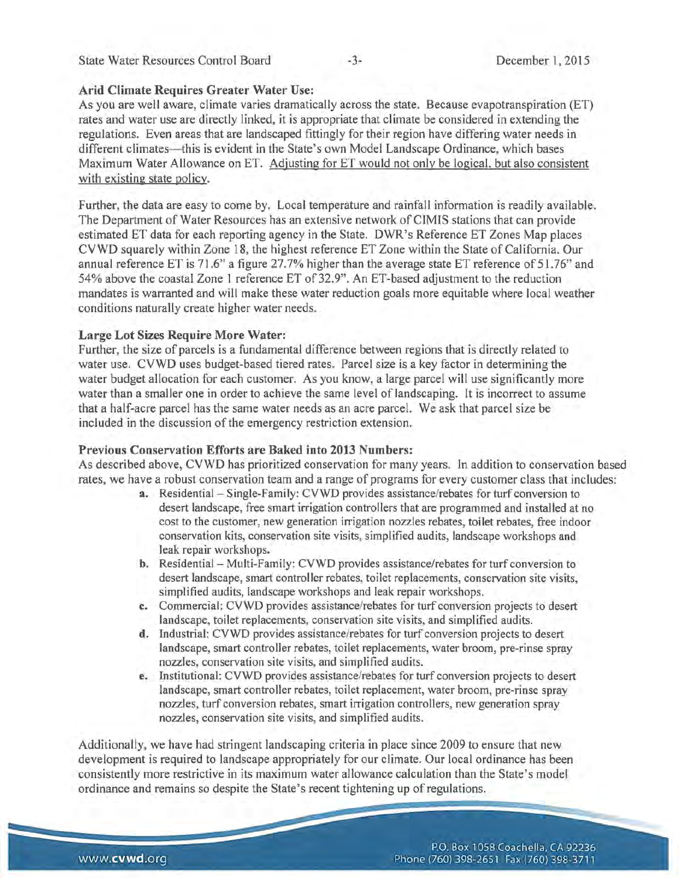#### State Water Resources Control Board -3- December 1, 2015

#### Arid Climate Requires Greater Water Use:

As you are well aware, climate varies dramatically across the state. Because evapotranspiration (ET) rates and water use are directly linked, it is appropriate that climate be considered in extending the regulations. Even areas that are landscaped fittingly for their region have differing water needs in different climates—this is evident in the State's own Model Landscape Ordinance, which bases Maximum Water Allowance on ET. Adjusting for ET would not only be logical, but also consistent with existing state policy.

Further, the data are easy to come by. Local temperature and rainfall information is readily available. The Department of Water Resources has an extensive network of CIMIS stations that can provide estimated ET data for each reporting agency in the State. DWR's Reference ET Zones Map places CVWD squarely within Zone 18, the highest reference ET Zone within the State of California. Our annual reference ET is 71.6" a figure 27. 7% higher than the average state ET reference of 51. 76" and 54% above the coastal Zone 1 reference ET of 32.9". An ET-based adjustment to the reduction mandates is warranted and will make these water reduction goals more equitable where local weather conditions naturally create higher water needs.

#### Large Lot Sizes Require More Water:

Further, the size of parcels is a fundamental difference between regions that is directly related to water use. CVWD uses budget-based tiered rates. Parcel size is a key factor in determining the water budget allocation for each customer. As you know, a large parcel will use significantly more water than a smaller one in order to achieve the same level of landscaping. It is incorrect to assume that a half-acre parcel has the same water needs as an acre parcel. We ask that parcel size be included in the discussion of the emergency restriction extension.

#### Previous Conservation Efforts are Baked into 2013 Numbers:

As described above, CVWD has prioritized conservation for many years. In addition to conservation based rates, we have a robust conservation team and a range of programs for every customer class that includes:

- a. Residential Single-Family: CVWD provides assistance/rebates for turf conversion to desert landscape, free smart irrigation controllers that are programmed and installed at no cost to the customer, new generation irrigation nozzles rebates, toilet rebates, free indoor conservation kits, conservation site visits, simplified audits, landscape workshops and leak repair workshops.
- b. Residential Multi-Family: CVWD provides assistance/rebates for turf conversion to desert landscape, smart controller rebates, toilet replacements, conservation site visits, simplified audits, landscape workshops and leak repair workshops.
- c. Commercial: CVWD provides assistance/rebates for turf conversion projects to desert landscape, toilet replacements, conservation site visits, and simplified audits.
- d. Industrial: CVWD provides assistance/rebates for turf conversion projects to desert landscape, smart controller rebates, toilet replacements, water broom, pre-rinse spray nozzles, conservation site visits, and simplified audits.
- e. Institutional: CVWD provides assistance/rebates for turf conversion projects to desert landscape, smart controller rebates, toilet replacement, water broom, pre-rinse spray nozzles, turf conversion rebates, smart irrigation controllers, new generation spray nozzles, conservation site visits, and simplified audits.

Additionally, we have had stringent landscaping criteria in place since 2009 to ensure that new development is required to landscape appropriately for our climate. Our local ordinance has been consistently more restrictive in its maximum water allowance calculation than the State's model ordinance and remains so despite the State's recent tightening up of regulations.